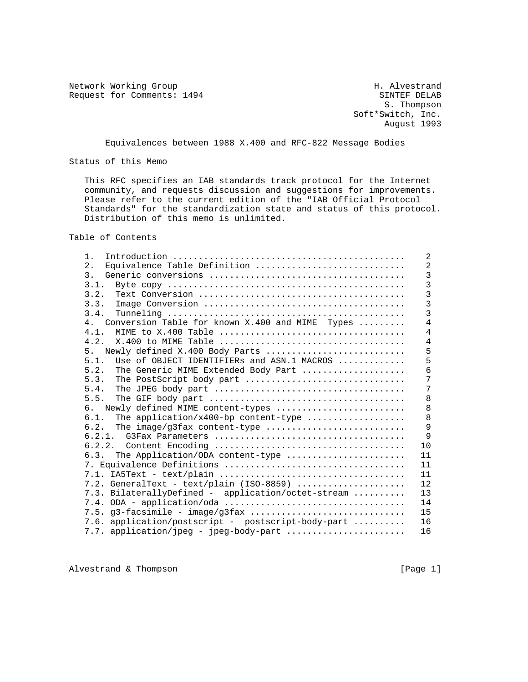Network Working Group<br>Request for Comments: 1494 SINTEF DELAB Request for Comments: 1494

 S. Thompson Soft\*Switch, Inc. August 1993

Equivalences between 1988 X.400 and RFC-822 Message Bodies

Status of this Memo

 This RFC specifies an IAB standards track protocol for the Internet community, and requests discussion and suggestions for improvements. Please refer to the current edition of the "IAB Official Protocol Standards" for the standardization state and status of this protocol. Distribution of this memo is unlimited.

Table of Contents

| $1$ .                                                 | 2              |
|-------------------------------------------------------|----------------|
| Equivalence Table Definition<br>2.                    | $\overline{2}$ |
| 3.                                                    | $\overline{3}$ |
| 3.1.                                                  | $\overline{3}$ |
| 3.2.                                                  | 3              |
| 3.3.                                                  | $\overline{3}$ |
| 3.4.                                                  | $\overline{3}$ |
| Conversion Table for known X.400 and MIME Types<br>4. | $\overline{4}$ |
| 4.1.                                                  | 4              |
| 4.2.                                                  | $\overline{4}$ |
| Newly defined X.400 Body Parts<br>5 <sub>1</sub>      | 5              |
| Use of OBJECT IDENTIFIERs and ASN.1 MACROS<br>5.1.    | 5              |
| The Generic MIME Extended Body Part<br>5.2.           | 6              |
| 5.3.<br>The PostScript body part                      | 7              |
| 5.4.                                                  | 7              |
| 5.5.                                                  | 8              |
| Newly defined MIME content-types<br>რ.                | 8              |
| The application/x400-bp content-type<br>6.1.          | 8              |
| The image/g3fax content-type<br>6.2.                  | 9              |
|                                                       | 9              |
|                                                       | 10             |
| 6.3. The Application/ODA content-type                 | 11             |
| 7. Equivalence Definitions                            | 11             |
|                                                       | 11             |
| 7.2. GeneralText - text/plain (ISO-8859)              | 12             |
| 7.3. BilaterallyDefined - application/octet-stream    | 13             |
|                                                       | 14             |
| 7.5. g3-facsimile - image/g3fax                       | 15             |
| 7.6. application/postscript - postscript-body-part    | 16             |
| 7.7. application/jpeg - jpeg-body-part                | 16             |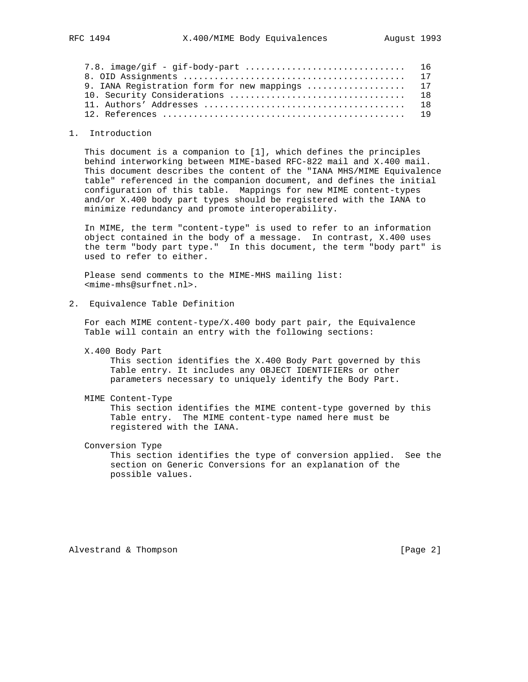| 9. IANA Registration form for new mappings  17 |  |
|------------------------------------------------|--|
|                                                |  |
|                                                |  |
|                                                |  |

### 1. Introduction

 This document is a companion to [1], which defines the principles behind interworking between MIME-based RFC-822 mail and X.400 mail. This document describes the content of the "IANA MHS/MIME Equivalence table" referenced in the companion document, and defines the initial configuration of this table. Mappings for new MIME content-types and/or X.400 body part types should be registered with the IANA to minimize redundancy and promote interoperability.

 In MIME, the term "content-type" is used to refer to an information object contained in the body of a message. In contrast, X.400 uses the term "body part type." In this document, the term "body part" is used to refer to either.

 Please send comments to the MIME-MHS mailing list: <mime-mhs@surfnet.nl>.

2. Equivalence Table Definition

 For each MIME content-type/X.400 body part pair, the Equivalence Table will contain an entry with the following sections:

X.400 Body Part

 This section identifies the X.400 Body Part governed by this Table entry. It includes any OBJECT IDENTIFIERs or other parameters necessary to uniquely identify the Body Part.

MIME Content-Type

 This section identifies the MIME content-type governed by this Table entry. The MIME content-type named here must be registered with the IANA.

Conversion Type

 This section identifies the type of conversion applied. See the section on Generic Conversions for an explanation of the possible values.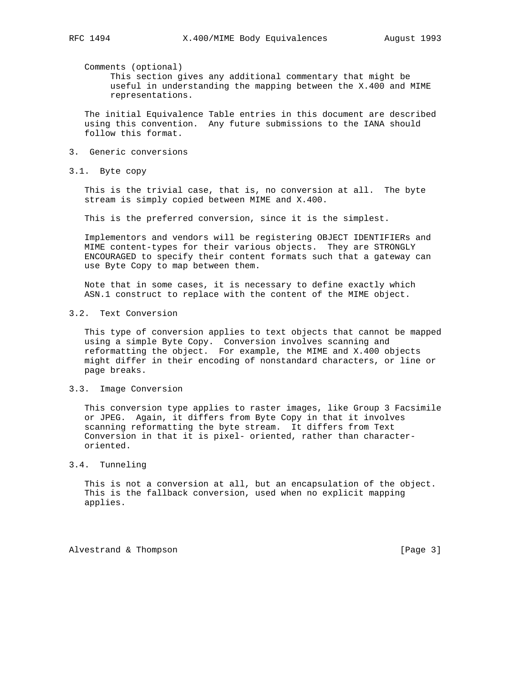Comments (optional)

 This section gives any additional commentary that might be useful in understanding the mapping between the X.400 and MIME representations.

 The initial Equivalence Table entries in this document are described using this convention. Any future submissions to the IANA should follow this format.

- 3. Generic conversions
- 3.1. Byte copy

 This is the trivial case, that is, no conversion at all. The byte stream is simply copied between MIME and X.400.

This is the preferred conversion, since it is the simplest.

 Implementors and vendors will be registering OBJECT IDENTIFIERs and MIME content-types for their various objects. They are STRONGLY ENCOURAGED to specify their content formats such that a gateway can use Byte Copy to map between them.

 Note that in some cases, it is necessary to define exactly which ASN.1 construct to replace with the content of the MIME object.

3.2. Text Conversion

 This type of conversion applies to text objects that cannot be mapped using a simple Byte Copy. Conversion involves scanning and reformatting the object. For example, the MIME and X.400 objects might differ in their encoding of nonstandard characters, or line or page breaks.

### 3.3. Image Conversion

 This conversion type applies to raster images, like Group 3 Facsimile or JPEG. Again, it differs from Byte Copy in that it involves scanning reformatting the byte stream. It differs from Text Conversion in that it is pixel- oriented, rather than character oriented.

## 3.4. Tunneling

 This is not a conversion at all, but an encapsulation of the object. This is the fallback conversion, used when no explicit mapping applies.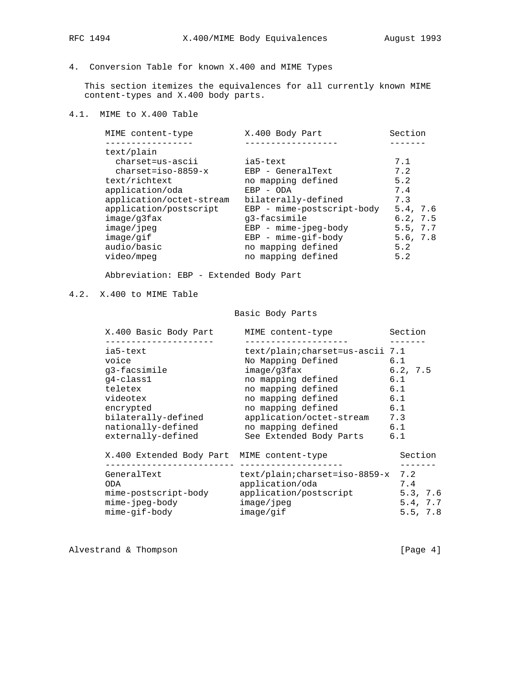# 4. Conversion Table for known X.400 and MIME Types

 This section itemizes the equivalences for all currently known MIME content-types and X.400 body parts.

## 4.1. MIME to X.400 Table

| MIME content-type        | X.400 Body Part            | Section  |
|--------------------------|----------------------------|----------|
|                          |                            |          |
| text/plain               |                            |          |
| charset=us-ascii         | ia5-text                   | 7.1      |
| $charset = iso-8859-x$   | EBP - GeneralText          | 7.2      |
| text/richtext            | no mapping defined         | 5.2      |
| application/oda          | $EBP - ODA$                | 7.4      |
| application/octet-stream | bilaterally-defined        | 7.3      |
| application/postscript   | EBP - mime-postscript-body | 5.4, 7.6 |
| image/q3fax              | q3-facsimile               | 6.2, 7.5 |
| image/jpeg               | $EBP - mime-jpeg-body$     | 5.5, 7.7 |
| image/qif                | $EBP - mime-gif-body$      | 5.6, 7.8 |
| audio/basic              | no mapping defined         | 5.2      |
| video/mpeg               | no mapping defined         | 5.2      |
|                          |                            |          |

Abbreviation: EBP - Extended Body Part

## 4.2. X.400 to MIME Table

## Basic Body Parts

| X.400 Basic Body Part                                                                                                                                                                  | MIME content-type                                                                                                                                                                                                                         | Section                                                          |
|----------------------------------------------------------------------------------------------------------------------------------------------------------------------------------------|-------------------------------------------------------------------------------------------------------------------------------------------------------------------------------------------------------------------------------------------|------------------------------------------------------------------|
| . _ _ _ _ _ _ _ _ _ _ _ _ _ _<br>ia5-text<br>voice<br>q3-facsimile<br>q4-class1<br>teletex<br>videotex<br>encrypted<br>bilaterally-defined<br>nationally-defined<br>externally-defined | text/plain;charset=us-ascii 7.1<br>No Mapping Defined<br>image/q3fax<br>no mapping defined<br>no mapping defined<br>no mapping defined<br>no mapping defined<br>application/octet-stream<br>no mapping defined<br>See Extended Body Parts | 6.1<br>6.2, 7.5<br>6.1<br>6.1<br>6.1<br>6.1<br>7.3<br>6.1<br>6.1 |
| X.400 Extended Body Part MIME content-type                                                                                                                                             |                                                                                                                                                                                                                                           | Section                                                          |
| GeneralText<br>ODA<br>mime-postscript-body<br>mime-jpeg-body<br>mime-gif-body                                                                                                          | text/plain;charset=iso-8859-x<br>application/oda<br>application/postscript<br>image/ipeq<br>image/qif                                                                                                                                     | 7.2<br>7.4<br>5.3, 7.6<br>5.4, 7.7<br>5.5, 7.8                   |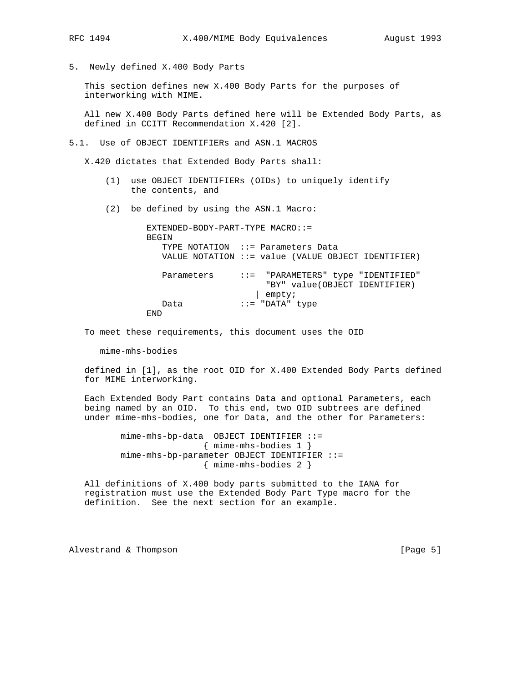- 
- 5. Newly defined X.400 Body Parts

 This section defines new X.400 Body Parts for the purposes of interworking with MIME.

 All new X.400 Body Parts defined here will be Extended Body Parts, as defined in CCITT Recommendation X.420 [2].

5.1. Use of OBJECT IDENTIFIERs and ASN.1 MACROS

X.420 dictates that Extended Body Parts shall:

- (1) use OBJECT IDENTIFIERs (OIDs) to uniquely identify the contents, and
- (2) be defined by using the ASN.1 Macro:

 EXTENDED-BODY-PART-TYPE MACRO::= BEGIN TYPE NOTATION ::= Parameters Data VALUE NOTATION ::= value (VALUE OBJECT IDENTIFIER) Parameters ::= "PARAMETERS" type "IDENTIFIED" "BY" value(OBJECT IDENTIFIER) | empty; Data ::= "DATA" type END

To meet these requirements, this document uses the OID

mime-mhs-bodies

 defined in [1], as the root OID for X.400 Extended Body Parts defined for MIME interworking.

 Each Extended Body Part contains Data and optional Parameters, each being named by an OID. To this end, two OID subtrees are defined under mime-mhs-bodies, one for Data, and the other for Parameters:

> mime-mhs-bp-data OBJECT IDENTIFIER ::= { mime-mhs-bodies 1 } mime-mhs-bp-parameter OBJECT IDENTIFIER ::= { mime-mhs-bodies 2 }

 All definitions of X.400 body parts submitted to the IANA for registration must use the Extended Body Part Type macro for the definition. See the next section for an example.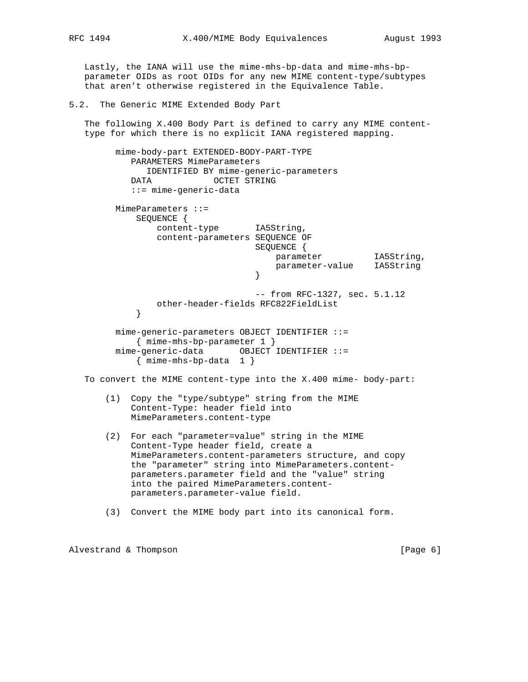Lastly, the IANA will use the mime-mhs-bp-data and mime-mhs-bp parameter OIDs as root OIDs for any new MIME content-type/subtypes that aren't otherwise registered in the Equivalence Table.

5.2. The Generic MIME Extended Body Part

 The following X.400 Body Part is defined to carry any MIME content type for which there is no explicit IANA registered mapping.

 mime-body-part EXTENDED-BODY-PART-TYPE PARAMETERS MimeParameters IDENTIFIED BY mime-generic-parameters DATA OCTET STRING ::= mime-generic-data MimeParameters ::= SEQUENCE { content-type IA5String, content-parameters SEQUENCE OF SEQUENCE { parameter IA5String, parameter-value IA5String } -- from RFC-1327, sec. 5.1.12 other-header-fields RFC822FieldList } mime-generic-parameters OBJECT IDENTIFIER ::= { mime-mhs-bp-parameter 1 } mime-generic-data OBJECT IDENTIFIER ::= { mime-mhs-bp-data 1 } To convert the MIME content-type into the X.400 mime- body-part: (1) Copy the "type/subtype" string from the MIME Content-Type: header field into MimeParameters.content-type (2) For each "parameter=value" string in the MIME Content-Type header field, create a MimeParameters.content-parameters structure, and copy the "parameter" string into MimeParameters.content parameters.parameter field and the "value" string into the paired MimeParameters.content parameters.parameter-value field.

(3) Convert the MIME body part into its canonical form.

Alvestrand & Thompson **being a set of the set of the set of the set of the set of the set of the set of the set of the set of the set of the set of the set of the set of the set of the set of the set of the set of the set**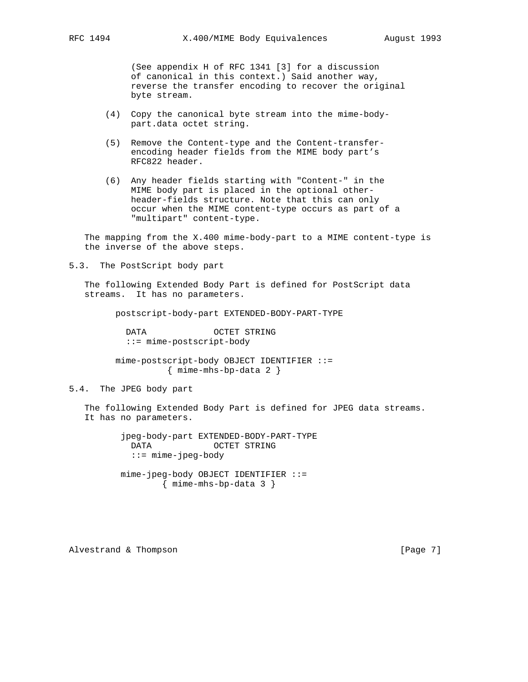(See appendix H of RFC 1341 [3] for a discussion of canonical in this context.) Said another way, reverse the transfer encoding to recover the original byte stream.

- (4) Copy the canonical byte stream into the mime-body part.data octet string.
- (5) Remove the Content-type and the Content-transfer encoding header fields from the MIME body part's RFC822 header.
- (6) Any header fields starting with "Content-" in the MIME body part is placed in the optional other header-fields structure. Note that this can only occur when the MIME content-type occurs as part of a "multipart" content-type.

 The mapping from the X.400 mime-body-part to a MIME content-type is the inverse of the above steps.

5.3. The PostScript body part

 The following Extended Body Part is defined for PostScript data streams. It has no parameters.

postscript-body-part EXTENDED-BODY-PART-TYPE

 DATA OCTET STRING ::= mime-postscript-body

 mime-postscript-body OBJECT IDENTIFIER ::= { mime-mhs-bp-data 2 }

### 5.4. The JPEG body part

 The following Extended Body Part is defined for JPEG data streams. It has no parameters.

> jpeg-body-part EXTENDED-BODY-PART-TYPE DATA OCTET STRING ::= mime-jpeg-body mime-jpeg-body OBJECT IDENTIFIER ::=

> > { mime-mhs-bp-data 3 }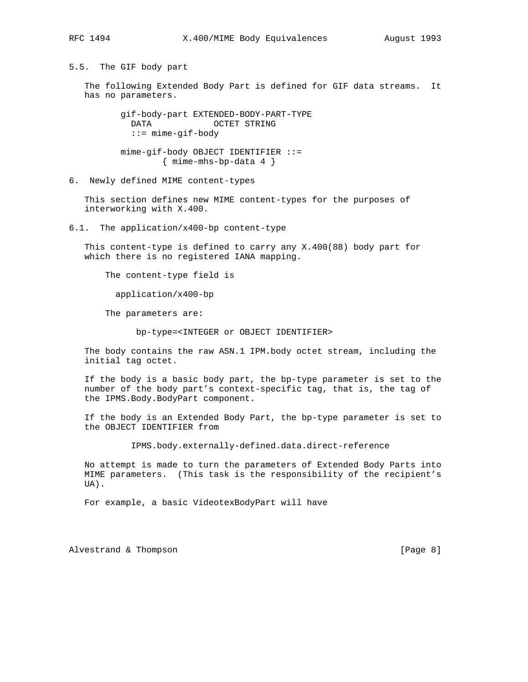5.5. The GIF body part

 The following Extended Body Part is defined for GIF data streams. It has no parameters.

> gif-body-part EXTENDED-BODY-PART-TYPE DATA OCTET STRING ::= mime-gif-body

 mime-gif-body OBJECT IDENTIFIER ::= { mime-mhs-bp-data 4 }

6. Newly defined MIME content-types

 This section defines new MIME content-types for the purposes of interworking with X.400.

6.1. The application/x400-bp content-type

 This content-type is defined to carry any X.400(88) body part for which there is no registered IANA mapping.

The content-type field is

application/x400-bp

The parameters are:

bp-type=<INTEGER or OBJECT IDENTIFIER>

 The body contains the raw ASN.1 IPM.body octet stream, including the initial tag octet.

 If the body is a basic body part, the bp-type parameter is set to the number of the body part's context-specific tag, that is, the tag of the IPMS.Body.BodyPart component.

 If the body is an Extended Body Part, the bp-type parameter is set to the OBJECT IDENTIFIER from

IPMS.body.externally-defined.data.direct-reference

 No attempt is made to turn the parameters of Extended Body Parts into MIME parameters. (This task is the responsibility of the recipient's UA).

For example, a basic VideotexBodyPart will have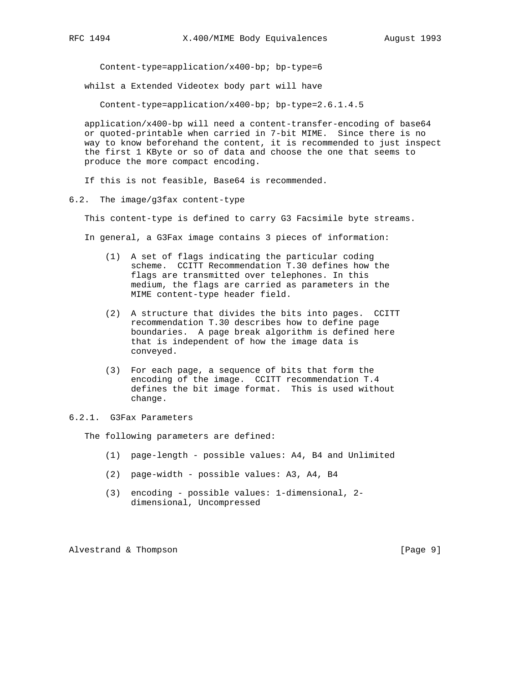Content-type=application/x400-bp; bp-type=6

whilst a Extended Videotex body part will have

Content-type=application/x400-bp; bp-type=2.6.1.4.5

 application/x400-bp will need a content-transfer-encoding of base64 or quoted-printable when carried in 7-bit MIME. Since there is no way to know beforehand the content, it is recommended to just inspect the first 1 KByte or so of data and choose the one that seems to produce the more compact encoding.

If this is not feasible, Base64 is recommended.

6.2. The image/g3fax content-type

This content-type is defined to carry G3 Facsimile byte streams.

In general, a G3Fax image contains 3 pieces of information:

- (1) A set of flags indicating the particular coding scheme. CCITT Recommendation T.30 defines how the flags are transmitted over telephones. In this medium, the flags are carried as parameters in the MIME content-type header field.
- (2) A structure that divides the bits into pages. CCITT recommendation T.30 describes how to define page boundaries. A page break algorithm is defined here that is independent of how the image data is conveyed.
- (3) For each page, a sequence of bits that form the encoding of the image. CCITT recommendation T.4 defines the bit image format. This is used without change.

### 6.2.1. G3Fax Parameters

The following parameters are defined:

- (1) page-length possible values: A4, B4 and Unlimited
- (2) page-width possible values: A3, A4, B4
- (3) encoding possible values: 1-dimensional, 2 dimensional, Uncompressed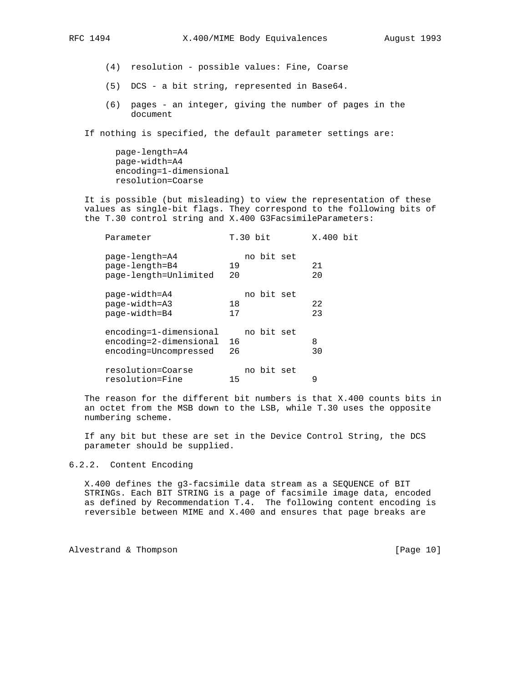- (4) resolution possible values: Fine, Coarse
- (5) DCS a bit string, represented in Base64.
- (6) pages an integer, giving the number of pages in the document

If nothing is specified, the default parameter settings are:

 page-length=A4 page-width=A4 encoding=1-dimensional resolution=Coarse

 It is possible (but misleading) to view the representation of these values as single-bit flags. They correspond to the following bits of the T.30 control string and X.400 G3FacsimileParameters:

| Parameter |                                                                           |            | $T.30$ bit | X.400 bit |  |
|-----------|---------------------------------------------------------------------------|------------|------------|-----------|--|
|           | page-length=A4<br>page-length=B4<br>page-length=Unlimited                 | 19<br>20   | no bit set | 21<br>20  |  |
|           | page-width=A4<br>page-width=A3<br>page-width=B4                           | 18<br>17   | no bit set | 22<br>23  |  |
|           | encoding=1-dimensional<br>encoding=2-dimensional<br>encoding=Uncompressed | - 16<br>26 | no bit set | 8<br>30   |  |
|           | resolution=Coarse<br>resolution=Fine                                      | 15         | no bit set | 9         |  |

 The reason for the different bit numbers is that X.400 counts bits in an octet from the MSB down to the LSB, while T.30 uses the opposite numbering scheme.

 If any bit but these are set in the Device Control String, the DCS parameter should be supplied.

### 6.2.2. Content Encoding

 X.400 defines the g3-facsimile data stream as a SEQUENCE of BIT STRINGs. Each BIT STRING is a page of facsimile image data, encoded as defined by Recommendation T.4. The following content encoding is reversible between MIME and X.400 and ensures that page breaks are

Alvestrand & Thompson [Page 10]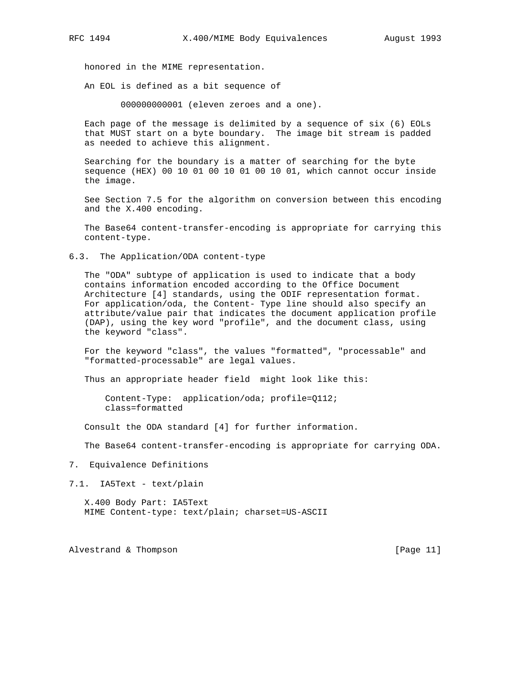honored in the MIME representation.

An EOL is defined as a bit sequence of

000000000001 (eleven zeroes and a one).

 Each page of the message is delimited by a sequence of six (6) EOLs that MUST start on a byte boundary. The image bit stream is padded as needed to achieve this alignment.

 Searching for the boundary is a matter of searching for the byte sequence (HEX) 00 10 01 00 10 01 00 10 01, which cannot occur inside the image.

 See Section 7.5 for the algorithm on conversion between this encoding and the X.400 encoding.

 The Base64 content-transfer-encoding is appropriate for carrying this content-type.

6.3. The Application/ODA content-type

 The "ODA" subtype of application is used to indicate that a body contains information encoded according to the Office Document Architecture [4] standards, using the ODIF representation format. For application/oda, the Content- Type line should also specify an attribute/value pair that indicates the document application profile (DAP), using the key word "profile", and the document class, using the keyword "class".

 For the keyword "class", the values "formatted", "processable" and "formatted-processable" are legal values.

Thus an appropriate header field might look like this:

 Content-Type: application/oda; profile=Q112; class=formatted

Consult the ODA standard [4] for further information.

The Base64 content-transfer-encoding is appropriate for carrying ODA.

- 7. Equivalence Definitions
- 7.1. IA5Text text/plain

 X.400 Body Part: IA5Text MIME Content-type: text/plain; charset=US-ASCII

Alvestrand & Thompson [Page 11]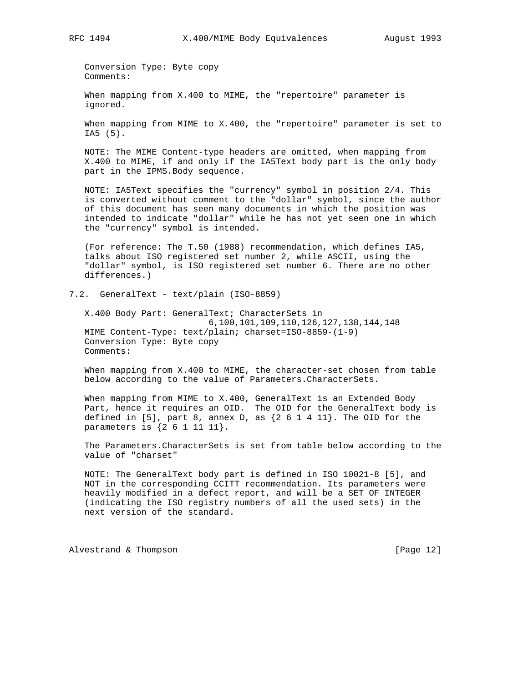Conversion Type: Byte copy Comments:

 When mapping from X.400 to MIME, the "repertoire" parameter is ignored.

 When mapping from MIME to X.400, the "repertoire" parameter is set to IA5 (5).

 NOTE: The MIME Content-type headers are omitted, when mapping from X.400 to MIME, if and only if the IA5Text body part is the only body part in the IPMS.Body sequence.

 NOTE: IA5Text specifies the "currency" symbol in position 2/4. This is converted without comment to the "dollar" symbol, since the author of this document has seen many documents in which the position was intended to indicate "dollar" while he has not yet seen one in which the "currency" symbol is intended.

 (For reference: The T.50 (1988) recommendation, which defines IA5, talks about ISO registered set number 2, while ASCII, using the "dollar" symbol, is ISO registered set number 6. There are no other differences.)

7.2. GeneralText - text/plain (ISO-8859)

 X.400 Body Part: GeneralText; CharacterSets in 6,100,101,109,110,126,127,138,144,148 MIME Content-Type: text/plain; charset=ISO-8859-(1-9) Conversion Type: Byte copy Comments:

 When mapping from X.400 to MIME, the character-set chosen from table below according to the value of Parameters.CharacterSets.

 When mapping from MIME to X.400, GeneralText is an Extended Body Part, hence it requires an OID. The OID for the GeneralText body is defined in [5], part 8, annex D, as  $\{2\,6\,1\,4\,11\}$ . The OID for the parameters is {2 6 1 11 11}.

 The Parameters.CharacterSets is set from table below according to the value of "charset"

 NOTE: The GeneralText body part is defined in ISO 10021-8 [5], and NOT in the corresponding CCITT recommendation. Its parameters were heavily modified in a defect report, and will be a SET OF INTEGER (indicating the ISO registry numbers of all the used sets) in the next version of the standard.

Alvestrand & Thompson [Page 12]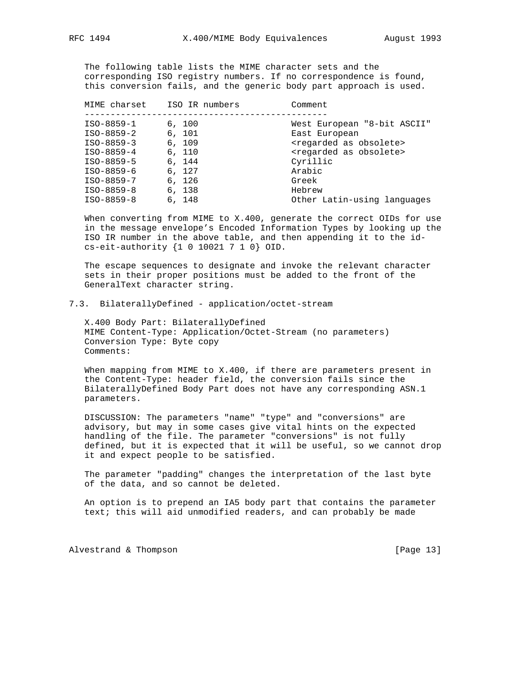The following table lists the MIME character sets and the corresponding ISO registry numbers. If no correspondence is found, this conversion fails, and the generic body part approach is used.

| MIME charset | ISO IR numbers | Comment                                 |
|--------------|----------------|-----------------------------------------|
|              |                |                                         |
| $ISO-8859-1$ | 6.100          | West European "8-bit ASCII"             |
| $ISO-8859-2$ | 6, 101         | East European                           |
| $ISO-8859-3$ | 6.109          | <regarded as="" obsolete=""></regarded> |
| $ISO-8859-4$ | 6, 110         | <regarded as="" obsolete=""></regarded> |
| $ISO-8859-5$ | 6, 144         | Cyrillic                                |
| ISO-8859-6   | 6.127          | Arabic                                  |
| $ISO-8859-7$ | 6, 126         | Greek                                   |
| $ISO-8859-8$ | 6, 138         | Hebrew                                  |
| $ISO-8859-8$ | 6, 148         | Other Latin-using languages             |

 When converting from MIME to X.400, generate the correct OIDs for use in the message envelope's Encoded Information Types by looking up the ISO IR number in the above table, and then appending it to the id cs-eit-authority {1 0 10021 7 1 0} OID.

 The escape sequences to designate and invoke the relevant character sets in their proper positions must be added to the front of the GeneralText character string.

### 7.3. BilaterallyDefined - application/octet-stream

 X.400 Body Part: BilaterallyDefined MIME Content-Type: Application/Octet-Stream (no parameters) Conversion Type: Byte copy Comments:

 When mapping from MIME to X.400, if there are parameters present in the Content-Type: header field, the conversion fails since the BilaterallyDefined Body Part does not have any corresponding ASN.1 parameters.

 DISCUSSION: The parameters "name" "type" and "conversions" are advisory, but may in some cases give vital hints on the expected handling of the file. The parameter "conversions" is not fully defined, but it is expected that it will be useful, so we cannot drop it and expect people to be satisfied.

 The parameter "padding" changes the interpretation of the last byte of the data, and so cannot be deleted.

 An option is to prepend an IA5 body part that contains the parameter text; this will aid unmodified readers, and can probably be made

Alvestrand & Thompson [Page 13]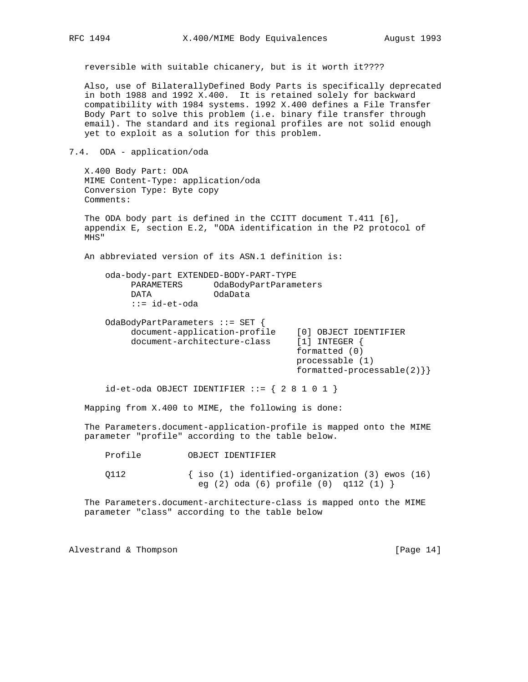reversible with suitable chicanery, but is it worth it????

 Also, use of BilaterallyDefined Body Parts is specifically deprecated in both 1988 and 1992 X.400. It is retained solely for backward compatibility with 1984 systems. 1992 X.400 defines a File Transfer Body Part to solve this problem (i.e. binary file transfer through email). The standard and its regional profiles are not solid enough yet to exploit as a solution for this problem.

7.4. ODA - application/oda

 X.400 Body Part: ODA MIME Content-Type: application/oda Conversion Type: Byte copy Comments:

 The ODA body part is defined in the CCITT document T.411 [6], appendix E, section E.2, "ODA identification in the P2 protocol of MHS"

An abbreviated version of its ASN.1 definition is:

 oda-body-part EXTENDED-BODY-PART-TYPE PARAMETERS OdaBodyPartParameters<br>DATA OdaData DATA **OdaTa** ::= id-et-oda

 OdaBodyPartParameters ::= SET { document-application-profile [0] OBJECT IDENTIFIER<br>document-architecture-class [1] INTEGER { document-architecture-class formatted (0) processable (1) formatted-processable(2)}}

 $id$ -et-oda OBJECT IDENTIFIER ::= { 2 8 1 0 1 }

Mapping from X.400 to MIME, the following is done:

 The Parameters.document-application-profile is mapped onto the MIME parameter "profile" according to the table below.

Profile OBJECT IDENTIFIER

 Q112 { iso (1) identified-organization (3) ewos (16) eg (2) oda (6) profile (0) q112 (1) }

 The Parameters.document-architecture-class is mapped onto the MIME parameter "class" according to the table below

Alvestrand & Thompson [Page 14]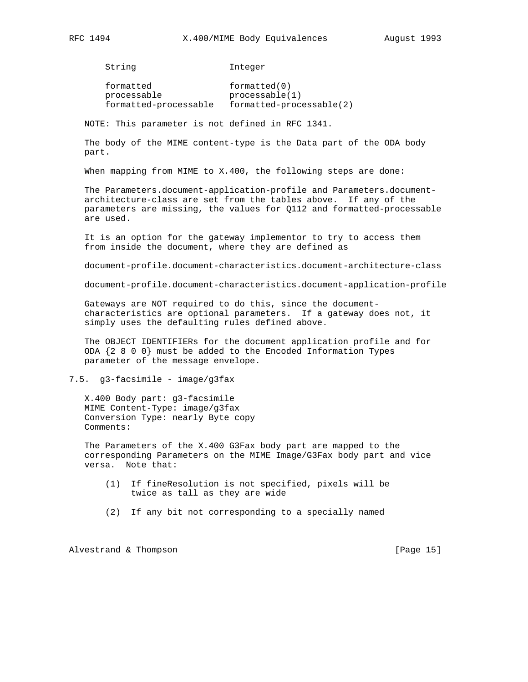String Integer

formatted formatted(0) processable processable(1) formatted-processable formatted-processable(2)

NOTE: This parameter is not defined in RFC 1341.

 The body of the MIME content-type is the Data part of the ODA body part.

When mapping from MIME to X.400, the following steps are done:

 The Parameters.document-application-profile and Parameters.document architecture-class are set from the tables above. If any of the parameters are missing, the values for Q112 and formatted-processable are used.

 It is an option for the gateway implementor to try to access them from inside the document, where they are defined as

document-profile.document-characteristics.document-architecture-class

document-profile.document-characteristics.document-application-profile

 Gateways are NOT required to do this, since the document characteristics are optional parameters. If a gateway does not, it simply uses the defaulting rules defined above.

 The OBJECT IDENTIFIERs for the document application profile and for ODA {2 8 0 0} must be added to the Encoded Information Types parameter of the message envelope.

7.5. g3-facsimile - image/g3fax

 X.400 Body part: g3-facsimile MIME Content-Type: image/g3fax Conversion Type: nearly Byte copy Comments:

 The Parameters of the X.400 G3Fax body part are mapped to the corresponding Parameters on the MIME Image/G3Fax body part and vice versa. Note that:

- (1) If fineResolution is not specified, pixels will be twice as tall as they are wide
- (2) If any bit not corresponding to a specially named

Alvestrand & Thompson [Page 15]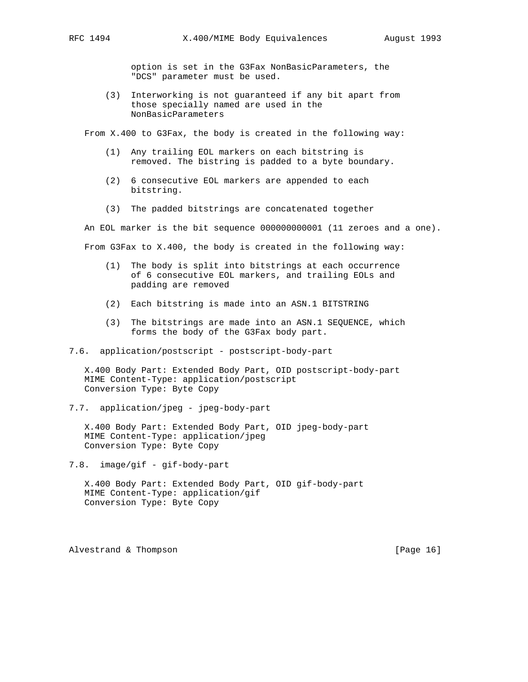option is set in the G3Fax NonBasicParameters, the "DCS" parameter must be used.

 (3) Interworking is not guaranteed if any bit apart from those specially named are used in the NonBasicParameters

From X.400 to G3Fax, the body is created in the following way:

- (1) Any trailing EOL markers on each bitstring is removed. The bistring is padded to a byte boundary.
- (2) 6 consecutive EOL markers are appended to each bitstring.
- (3) The padded bitstrings are concatenated together

 An EOL marker is the bit sequence 000000000001 (11 zeroes and a one). From G3Fax to X.400, the body is created in the following way:

- (1) The body is split into bitstrings at each occurrence of 6 consecutive EOL markers, and trailing EOLs and padding are removed
- (2) Each bitstring is made into an ASN.1 BITSTRING
- (3) The bitstrings are made into an ASN.1 SEQUENCE, which forms the body of the G3Fax body part.
- 7.6. application/postscript postscript-body-part

 X.400 Body Part: Extended Body Part, OID postscript-body-part MIME Content-Type: application/postscript Conversion Type: Byte Copy

7.7. application/jpeg - jpeg-body-part

 X.400 Body Part: Extended Body Part, OID jpeg-body-part MIME Content-Type: application/jpeg Conversion Type: Byte Copy

7.8. image/gif - gif-body-part

 X.400 Body Part: Extended Body Part, OID gif-body-part MIME Content-Type: application/gif Conversion Type: Byte Copy

Alvestrand & Thompson **being the set of the set of the set of the set of the set of the set of the set of the set of the set of the set of the set of the set of the set of the set of the set of the set of the set of the se**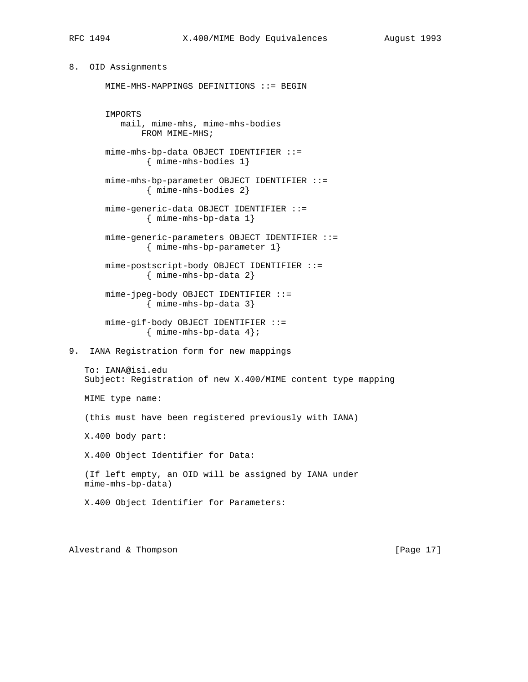```
8. OID Assignments
```

```
 MIME-MHS-MAPPINGS DEFINITIONS ::= BEGIN
```
 IMPORTS mail, mime-mhs, mime-mhs-bodies FROM MIME-MHS; mime-mhs-bp-data OBJECT IDENTIFIER ::= { mime-mhs-bodies 1} mime-mhs-bp-parameter OBJECT IDENTIFIER ::= { mime-mhs-bodies 2} mime-generic-data OBJECT IDENTIFIER ::= { mime-mhs-bp-data 1} mime-generic-parameters OBJECT IDENTIFIER ::= { mime-mhs-bp-parameter 1} mime-postscript-body OBJECT IDENTIFIER ::= { mime-mhs-bp-data 2} mime-jpeg-body OBJECT IDENTIFIER ::= { mime-mhs-bp-data 3} mime-gif-body OBJECT IDENTIFIER ::= { mime-mhs-bp-data 4}; 9. IANA Registration form for new mappings To: IANA@isi.edu Subject: Registration of new X.400/MIME content type mapping MIME type name: (this must have been registered previously with IANA) X.400 body part: X.400 Object Identifier for Data: (If left empty, an OID will be assigned by IANA under mime-mhs-bp-data) X.400 Object Identifier for Parameters: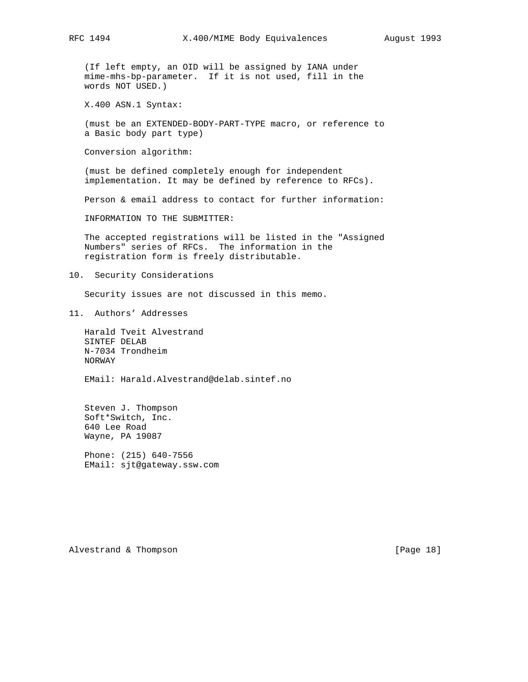(If left empty, an OID will be assigned by IANA under mime-mhs-bp-parameter. If it is not used, fill in the words NOT USED.)

X.400 ASN.1 Syntax:

 (must be an EXTENDED-BODY-PART-TYPE macro, or reference to a Basic body part type)

Conversion algorithm:

 (must be defined completely enough for independent implementation. It may be defined by reference to RFCs).

Person & email address to contact for further information:

INFORMATION TO THE SUBMITTER:

 The accepted registrations will be listed in the "Assigned Numbers" series of RFCs. The information in the registration form is freely distributable.

10. Security Considerations

Security issues are not discussed in this memo.

11. Authors' Addresses

 Harald Tveit Alvestrand SINTEF DELAB N-7034 Trondheim NORWAY

EMail: Harald.Alvestrand@delab.sintef.no

 Steven J. Thompson Soft\*Switch, Inc. 640 Lee Road Wayne, PA 19087

 Phone: (215) 640-7556 EMail: sjt@gateway.ssw.com

Alvestrand & Thompson [Page 18]